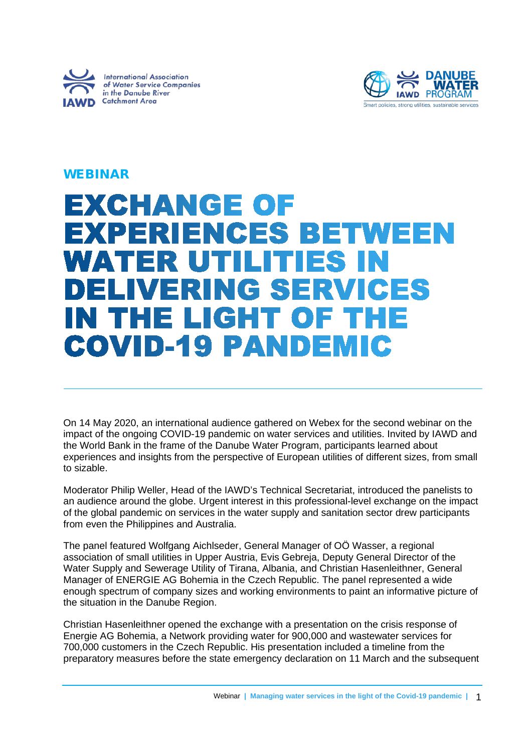



## WEBINAR

# **EXCHANGE OF EXPERIENCES BETWEEN** WATER UTILITIES IN **DELIVERING SERVICES IN THE LIGHT OF THE COVID-19 PANDEMIC**

On 14 May 2020, an international audience gathered on Webex for the second webinar on the impact of the ongoing COVID-19 pandemic on water services and utilities. Invited by IAWD and the World Bank in the frame of the Danube Water Program, participants learned about experiences and insights from the perspective of European utilities of different sizes, from small to sizable.

Moderator Philip Weller, Head of the IAWD's Technical Secretariat, introduced the panelists to an audience around the globe. Urgent interest in this professional-level exchange on the impact of the global pandemic on services in the water supply and sanitation sector drew participants from even the Philippines and Australia.

The panel featured Wolfgang Aichlseder, General Manager of OÖ Wasser, a regional association of small utilities in Upper Austria, Evis Gebreja, Deputy General Director of the Water Supply and Sewerage Utility of Tirana, Albania, and Christian Hasenleithner, General Manager of ENERGIE AG Bohemia in the Czech Republic. The panel represented a wide enough spectrum of company sizes and working environments to paint an informative picture of the situation in the Danube Region.

Christian Hasenleithner opened the exchange with a presentation on the crisis response of Energie AG Bohemia, a Network providing water for 900,000 and wastewater services for 700,000 customers in the Czech Republic. His presentation included a timeline from the preparatory measures before the state emergency declaration on 11 March and the subsequent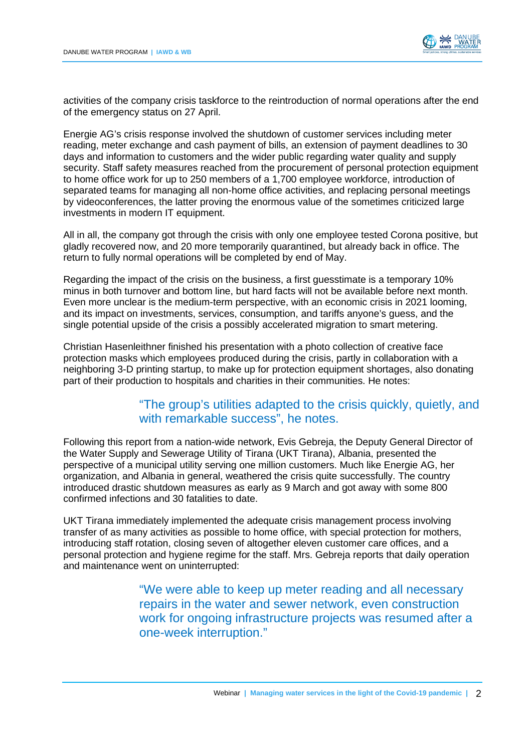

activities of the company crisis taskforce to the reintroduction of normal operations after the end of the emergency status on 27 April.

Energie AG's crisis response involved the shutdown of customer services including meter reading, meter exchange and cash payment of bills, an extension of payment deadlines to 30 days and information to customers and the wider public regarding water quality and supply security. Staff safety measures reached from the procurement of personal protection equipment to home office work for up to 250 members of a 1,700 employee workforce, introduction of separated teams for managing all non-home office activities, and replacing personal meetings by videoconferences, the latter proving the enormous value of the sometimes criticized large investments in modern IT equipment.

All in all, the company got through the crisis with only one employee tested Corona positive, but gladly recovered now, and 20 more temporarily quarantined, but already back in office. The return to fully normal operations will be completed by end of May.

Regarding the impact of the crisis on the business, a first guesstimate is a temporary 10% minus in both turnover and bottom line, but hard facts will not be available before next month. Even more unclear is the medium-term perspective, with an economic crisis in 2021 looming, and its impact on investments, services, consumption, and tariffs anyone's guess, and the single potential upside of the crisis a possibly accelerated migration to smart metering.

Christian Hasenleithner finished his presentation with a photo collection of creative face protection masks which employees produced during the crisis, partly in collaboration with a neighboring 3-D printing startup, to make up for protection equipment shortages, also donating part of their production to hospitals and charities in their communities. He notes:

### "The group's utilities adapted to the crisis quickly, quietly, and with remarkable success", he notes.

Following this report from a nation-wide network, Evis Gebreja, the Deputy General Director of the Water Supply and Sewerage Utility of Tirana (UKT Tirana), Albania, presented the perspective of a municipal utility serving one million customers. Much like Energie AG, her organization, and Albania in general, weathered the crisis quite successfully. The country introduced drastic shutdown measures as early as 9 March and got away with some 800 confirmed infections and 30 fatalities to date.

UKT Tirana immediately implemented the adequate crisis management process involving transfer of as many activities as possible to home office, with special protection for mothers, introducing staff rotation, closing seven of altogether eleven customer care offices, and a personal protection and hygiene regime for the staff. Mrs. Gebreja reports that daily operation and maintenance went on uninterrupted:

> "We were able to keep up meter reading and all necessary repairs in the water and sewer network, even construction work for ongoing infrastructure projects was resumed after a one-week interruption."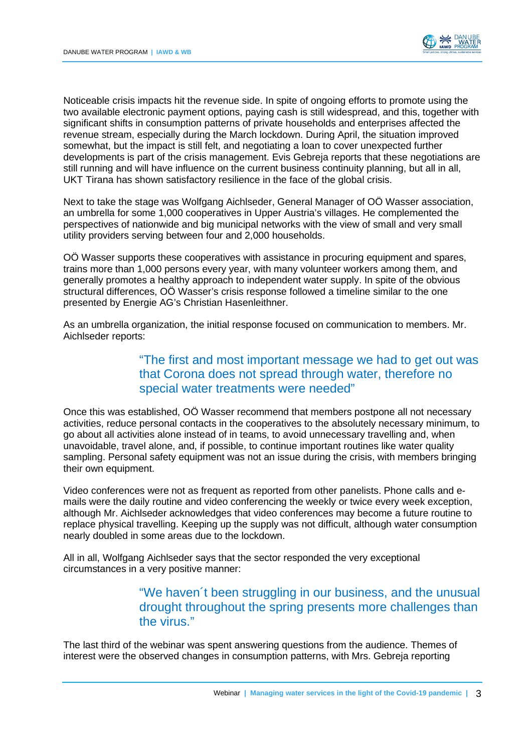

Noticeable crisis impacts hit the revenue side. In spite of ongoing efforts to promote using the two available electronic payment options, paying cash is still widespread, and this, together with significant shifts in consumption patterns of private households and enterprises affected the revenue stream, especially during the March lockdown. During April, the situation improved somewhat, but the impact is still felt, and negotiating a loan to cover unexpected further developments is part of the crisis management. Evis Gebreja reports that these negotiations are still running and will have influence on the current business continuity planning, but all in all, UKT Tirana has shown satisfactory resilience in the face of the global crisis.

Next to take the stage was Wolfgang Aichlseder, General Manager of OÖ Wasser association, an umbrella for some 1,000 cooperatives in Upper Austria's villages. He complemented the perspectives of nationwide and big municipal networks with the view of small and very small utility providers serving between four and 2,000 households.

OÖ Wasser supports these cooperatives with assistance in procuring equipment and spares, trains more than 1,000 persons every year, with many volunteer workers among them, and generally promotes a healthy approach to independent water supply. In spite of the obvious structural differences, OÖ Wasser's crisis response followed a timeline similar to the one presented by Energie AG's Christian Hasenleithner.

As an umbrella organization, the initial response focused on communication to members. Mr. Aichlseder reports:

### "The first and most important message we had to get out was that Corona does not spread through water, therefore no special water treatments were needed"

Once this was established, OÖ Wasser recommend that members postpone all not necessary activities, reduce personal contacts in the cooperatives to the absolutely necessary minimum, to go about all activities alone instead of in teams, to avoid unnecessary travelling and, when unavoidable, travel alone, and, if possible, to continue important routines like water quality sampling. Personal safety equipment was not an issue during the crisis, with members bringing their own equipment.

Video conferences were not as frequent as reported from other panelists. Phone calls and emails were the daily routine and video conferencing the weekly or twice every week exception, although Mr. Aichlseder acknowledges that video conferences may become a future routine to replace physical travelling. Keeping up the supply was not difficult, although water consumption nearly doubled in some areas due to the lockdown.

All in all, Wolfgang Aichlseder says that the sector responded the very exceptional circumstances in a very positive manner:

### "We haven´t been struggling in our business, and the unusual drought throughout the spring presents more challenges than the virus."

The last third of the webinar was spent answering questions from the audience. Themes of interest were the observed changes in consumption patterns, with Mrs. Gebreja reporting